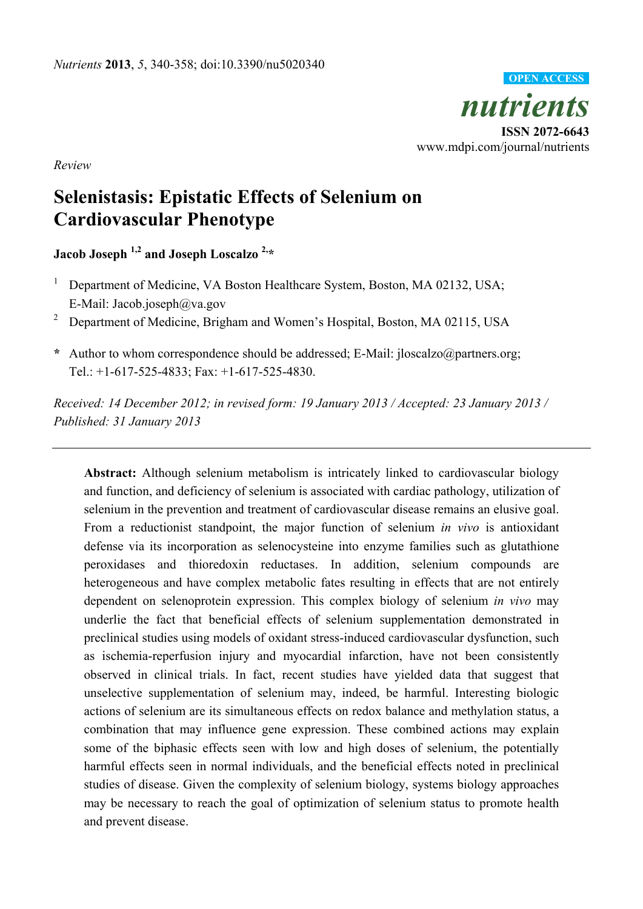

*Review* 

# **Selenistasis: Epistatic Effects of Selenium on Cardiovascular Phenotype**

**Jacob Joseph 1,2 and Joseph Loscalzo 2,\*** 

- 1 Department of Medicine, VA Boston Healthcare System, Boston, MA 02132, USA; E-Mail: Jacob.joseph@va.gov
- <sup>2</sup> Department of Medicine, Brigham and Women's Hospital, Boston, MA 02115, USA
- **\*** Author to whom correspondence should be addressed; E-Mail: jloscalzo@partners.org; Tel.: +1-617-525-4833; Fax: +1-617-525-4830.

*Received: 14 December 2012; in revised form: 19 January 2013 / Accepted: 23 January 2013 / Published: 31 January 2013* 

**Abstract:** Although selenium metabolism is intricately linked to cardiovascular biology and function, and deficiency of selenium is associated with cardiac pathology, utilization of selenium in the prevention and treatment of cardiovascular disease remains an elusive goal. From a reductionist standpoint, the major function of selenium *in vivo* is antioxidant defense via its incorporation as selenocysteine into enzyme families such as glutathione peroxidases and thioredoxin reductases. In addition, selenium compounds are heterogeneous and have complex metabolic fates resulting in effects that are not entirely dependent on selenoprotein expression. This complex biology of selenium *in vivo* may underlie the fact that beneficial effects of selenium supplementation demonstrated in preclinical studies using models of oxidant stress-induced cardiovascular dysfunction, such as ischemia-reperfusion injury and myocardial infarction, have not been consistently observed in clinical trials. In fact, recent studies have yielded data that suggest that unselective supplementation of selenium may, indeed, be harmful. Interesting biologic actions of selenium are its simultaneous effects on redox balance and methylation status, a combination that may influence gene expression. These combined actions may explain some of the biphasic effects seen with low and high doses of selenium, the potentially harmful effects seen in normal individuals, and the beneficial effects noted in preclinical studies of disease. Given the complexity of selenium biology, systems biology approaches may be necessary to reach the goal of optimization of selenium status to promote health and prevent disease.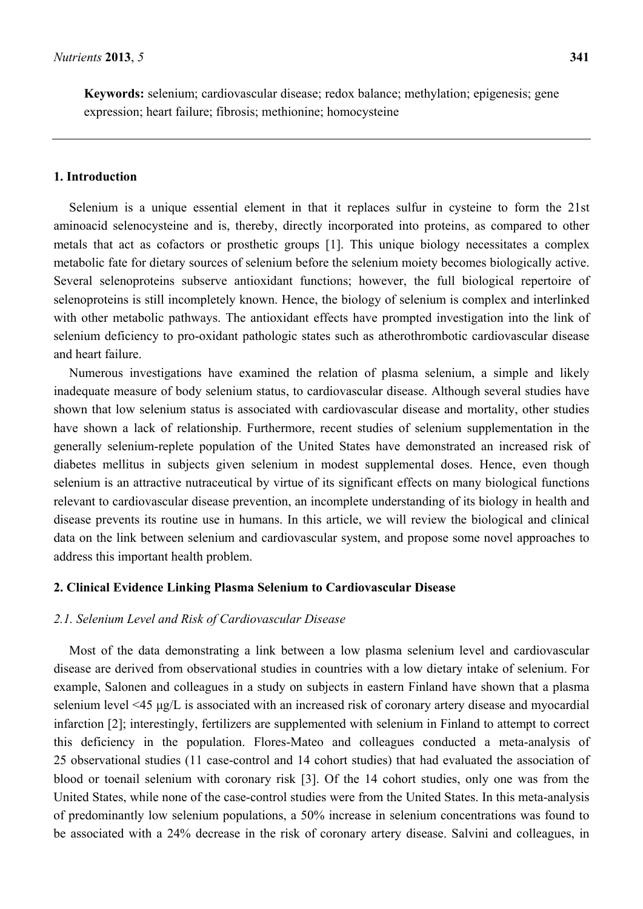**Keywords:** selenium; cardiovascular disease; redox balance; methylation; epigenesis; gene expression; heart failure; fibrosis; methionine; homocysteine

# **1. Introduction**

Selenium is a unique essential element in that it replaces sulfur in cysteine to form the 21st aminoacid selenocysteine and is, thereby, directly incorporated into proteins, as compared to other metals that act as cofactors or prosthetic groups [1]. This unique biology necessitates a complex metabolic fate for dietary sources of selenium before the selenium moiety becomes biologically active. Several selenoproteins subserve antioxidant functions; however, the full biological repertoire of selenoproteins is still incompletely known. Hence, the biology of selenium is complex and interlinked with other metabolic pathways. The antioxidant effects have prompted investigation into the link of selenium deficiency to pro-oxidant pathologic states such as atherothrombotic cardiovascular disease and heart failure.

Numerous investigations have examined the relation of plasma selenium, a simple and likely inadequate measure of body selenium status, to cardiovascular disease. Although several studies have shown that low selenium status is associated with cardiovascular disease and mortality, other studies have shown a lack of relationship. Furthermore, recent studies of selenium supplementation in the generally selenium-replete population of the United States have demonstrated an increased risk of diabetes mellitus in subjects given selenium in modest supplemental doses. Hence, even though selenium is an attractive nutraceutical by virtue of its significant effects on many biological functions relevant to cardiovascular disease prevention, an incomplete understanding of its biology in health and disease prevents its routine use in humans. In this article, we will review the biological and clinical data on the link between selenium and cardiovascular system, and propose some novel approaches to address this important health problem.

#### **2. Clinical Evidence Linking Plasma Selenium to Cardiovascular Disease**

### *2.1. Selenium Level and Risk of Cardiovascular Disease*

Most of the data demonstrating a link between a low plasma selenium level and cardiovascular disease are derived from observational studies in countries with a low dietary intake of selenium. For example, Salonen and colleagues in a study on subjects in eastern Finland have shown that a plasma selenium level <45 μg/L is associated with an increased risk of coronary artery disease and myocardial infarction [2]; interestingly, fertilizers are supplemented with selenium in Finland to attempt to correct this deficiency in the population. Flores-Mateo and colleagues conducted a meta-analysis of 25 observational studies (11 case-control and 14 cohort studies) that had evaluated the association of blood or toenail selenium with coronary risk [3]. Of the 14 cohort studies, only one was from the United States, while none of the case-control studies were from the United States. In this meta-analysis of predominantly low selenium populations, a 50% increase in selenium concentrations was found to be associated with a 24% decrease in the risk of coronary artery disease. Salvini and colleagues, in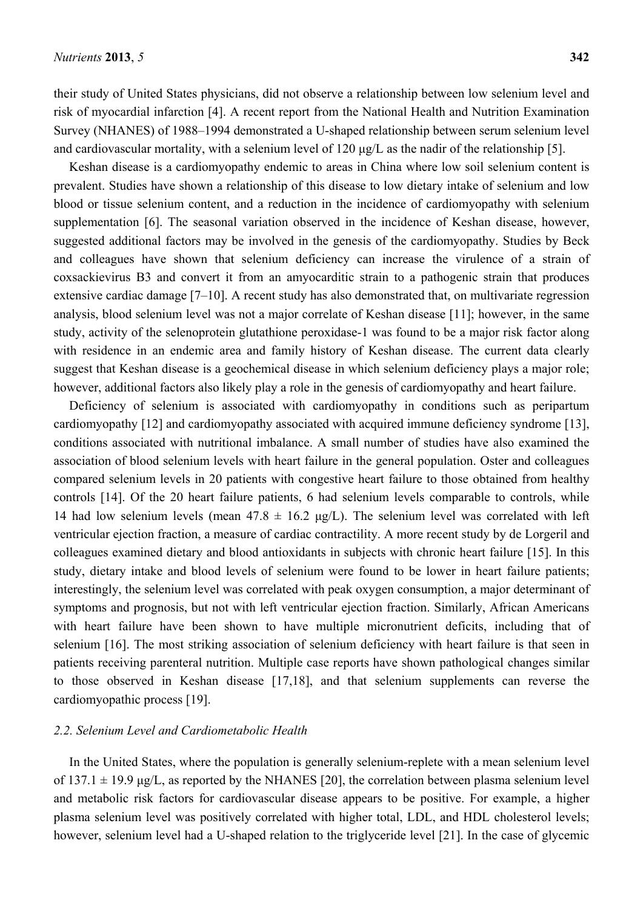their study of United States physicians, did not observe a relationship between low selenium level and risk of myocardial infarction [4]. A recent report from the National Health and Nutrition Examination Survey (NHANES) of 1988–1994 demonstrated a U-shaped relationship between serum selenium level and cardiovascular mortality, with a selenium level of 120 μg/L as the nadir of the relationship [5].

Keshan disease is a cardiomyopathy endemic to areas in China where low soil selenium content is prevalent. Studies have shown a relationship of this disease to low dietary intake of selenium and low blood or tissue selenium content, and a reduction in the incidence of cardiomyopathy with selenium supplementation [6]. The seasonal variation observed in the incidence of Keshan disease, however, suggested additional factors may be involved in the genesis of the cardiomyopathy. Studies by Beck and colleagues have shown that selenium deficiency can increase the virulence of a strain of coxsackievirus B3 and convert it from an amyocarditic strain to a pathogenic strain that produces extensive cardiac damage [7–10]. A recent study has also demonstrated that, on multivariate regression analysis, blood selenium level was not a major correlate of Keshan disease [11]; however, in the same study, activity of the selenoprotein glutathione peroxidase-1 was found to be a major risk factor along with residence in an endemic area and family history of Keshan disease. The current data clearly suggest that Keshan disease is a geochemical disease in which selenium deficiency plays a major role; however, additional factors also likely play a role in the genesis of cardiomyopathy and heart failure.

Deficiency of selenium is associated with cardiomyopathy in conditions such as peripartum cardiomyopathy [12] and cardiomyopathy associated with acquired immune deficiency syndrome [13], conditions associated with nutritional imbalance. A small number of studies have also examined the association of blood selenium levels with heart failure in the general population. Oster and colleagues compared selenium levels in 20 patients with congestive heart failure to those obtained from healthy controls [14]. Of the 20 heart failure patients, 6 had selenium levels comparable to controls, while 14 had low selenium levels (mean  $47.8 \pm 16.2$  µg/L). The selenium level was correlated with left ventricular ejection fraction, a measure of cardiac contractility. A more recent study by de Lorgeril and colleagues examined dietary and blood antioxidants in subjects with chronic heart failure [15]. In this study, dietary intake and blood levels of selenium were found to be lower in heart failure patients; interestingly, the selenium level was correlated with peak oxygen consumption, a major determinant of symptoms and prognosis, but not with left ventricular ejection fraction. Similarly, African Americans with heart failure have been shown to have multiple micronutrient deficits, including that of selenium [16]. The most striking association of selenium deficiency with heart failure is that seen in patients receiving parenteral nutrition. Multiple case reports have shown pathological changes similar to those observed in Keshan disease [17,18], and that selenium supplements can reverse the cardiomyopathic process [19].

# *2.2. Selenium Level and Cardiometabolic Health*

In the United States, where the population is generally selenium-replete with a mean selenium level of  $137.1 \pm 19.9$  μg/L, as reported by the NHANES [20], the correlation between plasma selenium level and metabolic risk factors for cardiovascular disease appears to be positive. For example, a higher plasma selenium level was positively correlated with higher total, LDL, and HDL cholesterol levels; however, selenium level had a U-shaped relation to the triglyceride level [21]. In the case of glycemic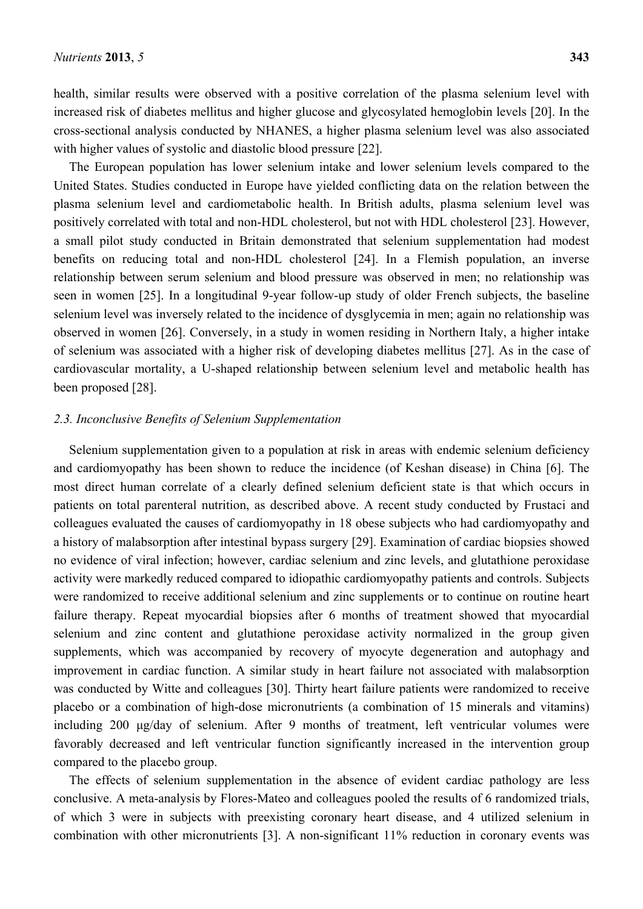health, similar results were observed with a positive correlation of the plasma selenium level with increased risk of diabetes mellitus and higher glucose and glycosylated hemoglobin levels [20]. In the cross-sectional analysis conducted by NHANES, a higher plasma selenium level was also associated with higher values of systolic and diastolic blood pressure [22].

The European population has lower selenium intake and lower selenium levels compared to the United States. Studies conducted in Europe have yielded conflicting data on the relation between the plasma selenium level and cardiometabolic health. In British adults, plasma selenium level was positively correlated with total and non-HDL cholesterol, but not with HDL cholesterol [23]. However, a small pilot study conducted in Britain demonstrated that selenium supplementation had modest benefits on reducing total and non-HDL cholesterol [24]. In a Flemish population, an inverse relationship between serum selenium and blood pressure was observed in men; no relationship was seen in women [25]. In a longitudinal 9-year follow-up study of older French subjects, the baseline selenium level was inversely related to the incidence of dysglycemia in men; again no relationship was observed in women [26]. Conversely, in a study in women residing in Northern Italy, a higher intake of selenium was associated with a higher risk of developing diabetes mellitus [27]. As in the case of cardiovascular mortality, a U-shaped relationship between selenium level and metabolic health has been proposed [28].

# *2.3. Inconclusive Benefits of Selenium Supplementation*

Selenium supplementation given to a population at risk in areas with endemic selenium deficiency and cardiomyopathy has been shown to reduce the incidence (of Keshan disease) in China [6]. The most direct human correlate of a clearly defined selenium deficient state is that which occurs in patients on total parenteral nutrition, as described above. A recent study conducted by Frustaci and colleagues evaluated the causes of cardiomyopathy in 18 obese subjects who had cardiomyopathy and a history of malabsorption after intestinal bypass surgery [29]. Examination of cardiac biopsies showed no evidence of viral infection; however, cardiac selenium and zinc levels, and glutathione peroxidase activity were markedly reduced compared to idiopathic cardiomyopathy patients and controls. Subjects were randomized to receive additional selenium and zinc supplements or to continue on routine heart failure therapy. Repeat myocardial biopsies after 6 months of treatment showed that myocardial selenium and zinc content and glutathione peroxidase activity normalized in the group given supplements, which was accompanied by recovery of myocyte degeneration and autophagy and improvement in cardiac function. A similar study in heart failure not associated with malabsorption was conducted by Witte and colleagues [30]. Thirty heart failure patients were randomized to receive placebo or a combination of high-dose micronutrients (a combination of 15 minerals and vitamins) including 200 μg/day of selenium. After 9 months of treatment, left ventricular volumes were favorably decreased and left ventricular function significantly increased in the intervention group compared to the placebo group.

The effects of selenium supplementation in the absence of evident cardiac pathology are less conclusive. A meta-analysis by Flores-Mateo and colleagues pooled the results of 6 randomized trials, of which 3 were in subjects with preexisting coronary heart disease, and 4 utilized selenium in combination with other micronutrients [3]. A non-significant 11% reduction in coronary events was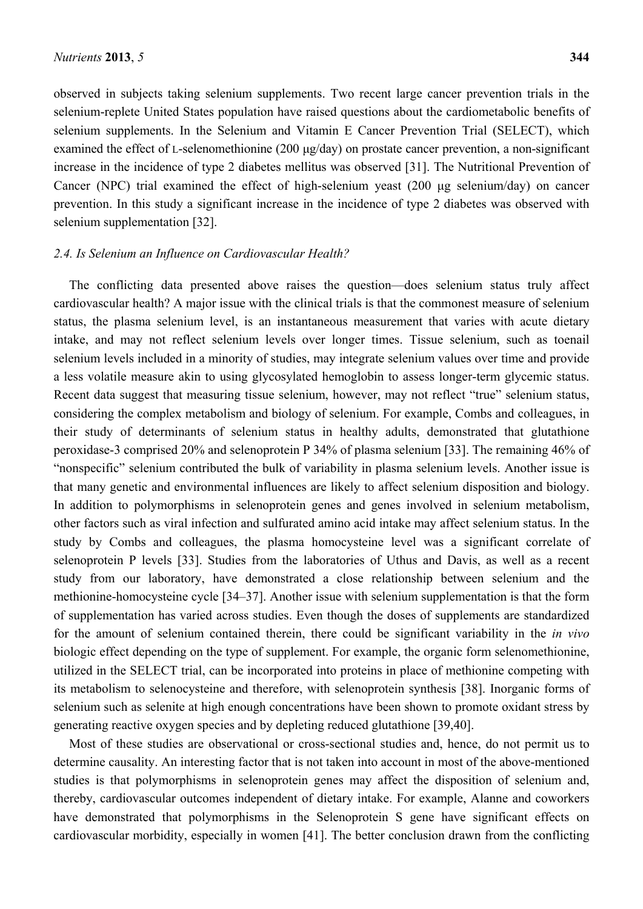observed in subjects taking selenium supplements. Two recent large cancer prevention trials in the selenium-replete United States population have raised questions about the cardiometabolic benefits of selenium supplements. In the Selenium and Vitamin E Cancer Prevention Trial (SELECT), which examined the effect of L-selenomethionine (200 μg/day) on prostate cancer prevention, a non-significant increase in the incidence of type 2 diabetes mellitus was observed [31]. The Nutritional Prevention of Cancer (NPC) trial examined the effect of high-selenium yeast (200 μg selenium/day) on cancer prevention. In this study a significant increase in the incidence of type 2 diabetes was observed with selenium supplementation [32].

# *2.4. Is Selenium an Influence on Cardiovascular Health?*

The conflicting data presented above raises the question—does selenium status truly affect cardiovascular health? A major issue with the clinical trials is that the commonest measure of selenium status, the plasma selenium level, is an instantaneous measurement that varies with acute dietary intake, and may not reflect selenium levels over longer times. Tissue selenium, such as toenail selenium levels included in a minority of studies, may integrate selenium values over time and provide a less volatile measure akin to using glycosylated hemoglobin to assess longer-term glycemic status. Recent data suggest that measuring tissue selenium, however, may not reflect "true" selenium status, considering the complex metabolism and biology of selenium. For example, Combs and colleagues, in their study of determinants of selenium status in healthy adults, demonstrated that glutathione peroxidase-3 comprised 20% and selenoprotein P 34% of plasma selenium [33]. The remaining 46% of "nonspecific" selenium contributed the bulk of variability in plasma selenium levels. Another issue is that many genetic and environmental influences are likely to affect selenium disposition and biology. In addition to polymorphisms in selenoprotein genes and genes involved in selenium metabolism, other factors such as viral infection and sulfurated amino acid intake may affect selenium status. In the study by Combs and colleagues, the plasma homocysteine level was a significant correlate of selenoprotein P levels [33]. Studies from the laboratories of Uthus and Davis, as well as a recent study from our laboratory, have demonstrated a close relationship between selenium and the methionine-homocysteine cycle [34–37]. Another issue with selenium supplementation is that the form of supplementation has varied across studies. Even though the doses of supplements are standardized for the amount of selenium contained therein, there could be significant variability in the *in vivo* biologic effect depending on the type of supplement. For example, the organic form selenomethionine, utilized in the SELECT trial, can be incorporated into proteins in place of methionine competing with its metabolism to selenocysteine and therefore, with selenoprotein synthesis [38]. Inorganic forms of selenium such as selenite at high enough concentrations have been shown to promote oxidant stress by generating reactive oxygen species and by depleting reduced glutathione [39,40].

Most of these studies are observational or cross-sectional studies and, hence, do not permit us to determine causality. An interesting factor that is not taken into account in most of the above-mentioned studies is that polymorphisms in selenoprotein genes may affect the disposition of selenium and, thereby, cardiovascular outcomes independent of dietary intake. For example, Alanne and coworkers have demonstrated that polymorphisms in the Selenoprotein S gene have significant effects on cardiovascular morbidity, especially in women [41]. The better conclusion drawn from the conflicting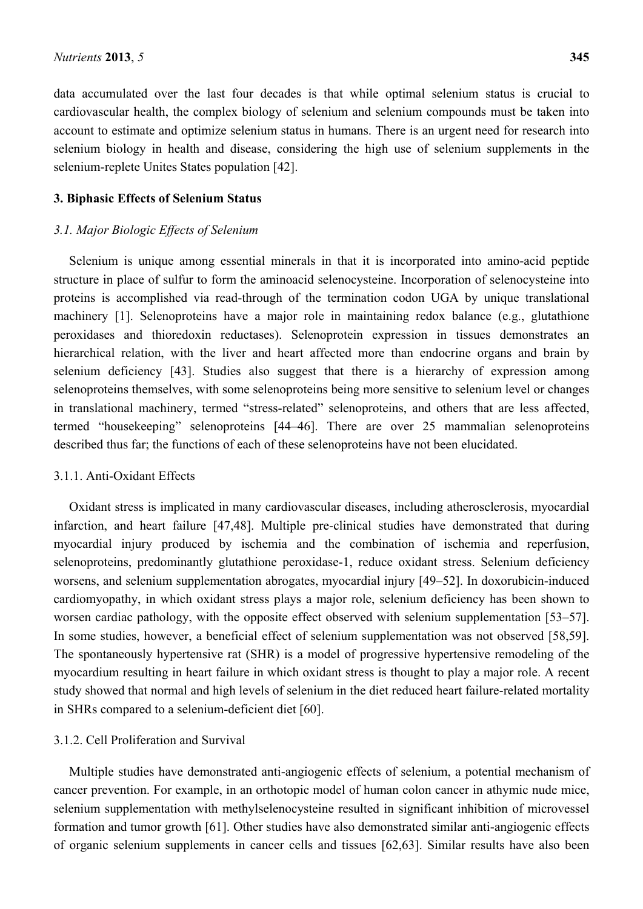data accumulated over the last four decades is that while optimal selenium status is crucial to cardiovascular health, the complex biology of selenium and selenium compounds must be taken into account to estimate and optimize selenium status in humans. There is an urgent need for research into selenium biology in health and disease, considering the high use of selenium supplements in the selenium-replete Unites States population [42].

## **3. Biphasic Effects of Selenium Status**

#### *3.1. Major Biologic Effects of Selenium*

Selenium is unique among essential minerals in that it is incorporated into amino-acid peptide structure in place of sulfur to form the aminoacid selenocysteine. Incorporation of selenocysteine into proteins is accomplished via read-through of the termination codon UGA by unique translational machinery [1]. Selenoproteins have a major role in maintaining redox balance (e.g., glutathione peroxidases and thioredoxin reductases). Selenoprotein expression in tissues demonstrates an hierarchical relation, with the liver and heart affected more than endocrine organs and brain by selenium deficiency [43]. Studies also suggest that there is a hierarchy of expression among selenoproteins themselves, with some selenoproteins being more sensitive to selenium level or changes in translational machinery, termed "stress-related" selenoproteins, and others that are less affected, termed "housekeeping" selenoproteins [44–46]. There are over 25 mammalian selenoproteins described thus far; the functions of each of these selenoproteins have not been elucidated.

#### 3.1.1. Anti-Oxidant Effects

Oxidant stress is implicated in many cardiovascular diseases, including atherosclerosis, myocardial infarction, and heart failure [47,48]. Multiple pre-clinical studies have demonstrated that during myocardial injury produced by ischemia and the combination of ischemia and reperfusion, selenoproteins, predominantly glutathione peroxidase-1, reduce oxidant stress. Selenium deficiency worsens, and selenium supplementation abrogates, myocardial injury [49–52]. In doxorubicin-induced cardiomyopathy, in which oxidant stress plays a major role, selenium deficiency has been shown to worsen cardiac pathology, with the opposite effect observed with selenium supplementation [53–57]. In some studies, however, a beneficial effect of selenium supplementation was not observed [58,59]. The spontaneously hypertensive rat (SHR) is a model of progressive hypertensive remodeling of the myocardium resulting in heart failure in which oxidant stress is thought to play a major role. A recent study showed that normal and high levels of selenium in the diet reduced heart failure-related mortality in SHRs compared to a selenium-deficient diet [60].

## 3.1.2. Cell Proliferation and Survival

Multiple studies have demonstrated anti-angiogenic effects of selenium, a potential mechanism of cancer prevention. For example, in an orthotopic model of human colon cancer in athymic nude mice, selenium supplementation with methylselenocysteine resulted in significant inhibition of microvessel formation and tumor growth [61]. Other studies have also demonstrated similar anti-angiogenic effects of organic selenium supplements in cancer cells and tissues [62,63]. Similar results have also been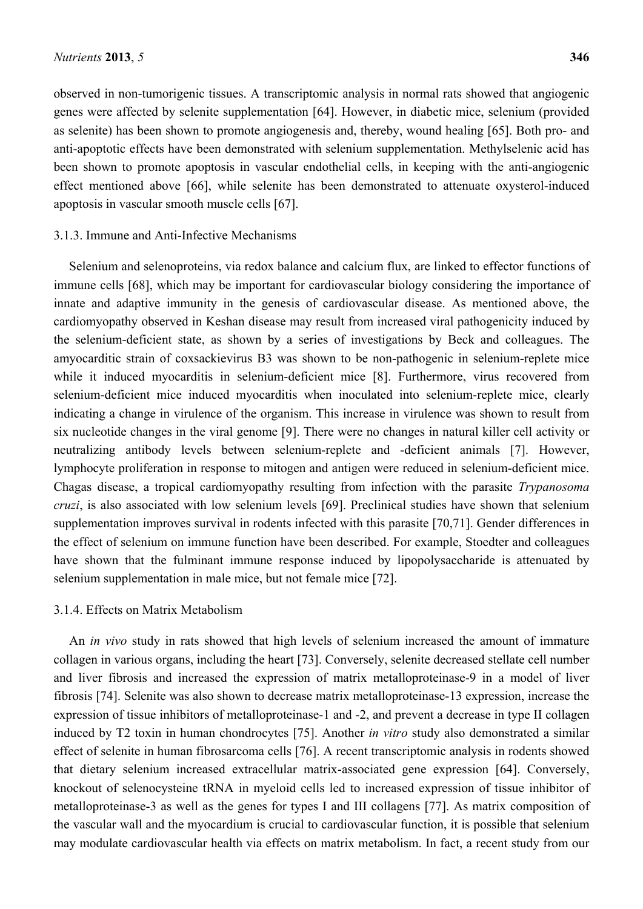observed in non-tumorigenic tissues. A transcriptomic analysis in normal rats showed that angiogenic genes were affected by selenite supplementation [64]. However, in diabetic mice, selenium (provided as selenite) has been shown to promote angiogenesis and, thereby, wound healing [65]. Both pro- and anti-apoptotic effects have been demonstrated with selenium supplementation. Methylselenic acid has been shown to promote apoptosis in vascular endothelial cells, in keeping with the anti-angiogenic effect mentioned above [66], while selenite has been demonstrated to attenuate oxysterol-induced apoptosis in vascular smooth muscle cells [67].

## 3.1.3. Immune and Anti-Infective Mechanisms

Selenium and selenoproteins, via redox balance and calcium flux, are linked to effector functions of immune cells [68], which may be important for cardiovascular biology considering the importance of innate and adaptive immunity in the genesis of cardiovascular disease. As mentioned above, the cardiomyopathy observed in Keshan disease may result from increased viral pathogenicity induced by the selenium-deficient state, as shown by a series of investigations by Beck and colleagues. The amyocarditic strain of coxsackievirus B3 was shown to be non-pathogenic in selenium-replete mice while it induced myocarditis in selenium-deficient mice [8]. Furthermore, virus recovered from selenium-deficient mice induced myocarditis when inoculated into selenium-replete mice, clearly indicating a change in virulence of the organism. This increase in virulence was shown to result from six nucleotide changes in the viral genome [9]. There were no changes in natural killer cell activity or neutralizing antibody levels between selenium-replete and -deficient animals [7]. However, lymphocyte proliferation in response to mitogen and antigen were reduced in selenium-deficient mice. Chagas disease, a tropical cardiomyopathy resulting from infection with the parasite *Trypanosoma cruzi*, is also associated with low selenium levels [69]. Preclinical studies have shown that selenium supplementation improves survival in rodents infected with this parasite [70,71]. Gender differences in the effect of selenium on immune function have been described. For example, Stoedter and colleagues have shown that the fulminant immune response induced by lipopolysaccharide is attenuated by selenium supplementation in male mice, but not female mice [72].

## 3.1.4. Effects on Matrix Metabolism

An *in vivo* study in rats showed that high levels of selenium increased the amount of immature collagen in various organs, including the heart [73]. Conversely, selenite decreased stellate cell number and liver fibrosis and increased the expression of matrix metalloproteinase-9 in a model of liver fibrosis [74]. Selenite was also shown to decrease matrix metalloproteinase-13 expression, increase the expression of tissue inhibitors of metalloproteinase-1 and -2, and prevent a decrease in type II collagen induced by T2 toxin in human chondrocytes [75]. Another *in vitro* study also demonstrated a similar effect of selenite in human fibrosarcoma cells [76]. A recent transcriptomic analysis in rodents showed that dietary selenium increased extracellular matrix-associated gene expression [64]. Conversely, knockout of selenocysteine tRNA in myeloid cells led to increased expression of tissue inhibitor of metalloproteinase-3 as well as the genes for types I and III collagens [77]. As matrix composition of the vascular wall and the myocardium is crucial to cardiovascular function, it is possible that selenium may modulate cardiovascular health via effects on matrix metabolism. In fact, a recent study from our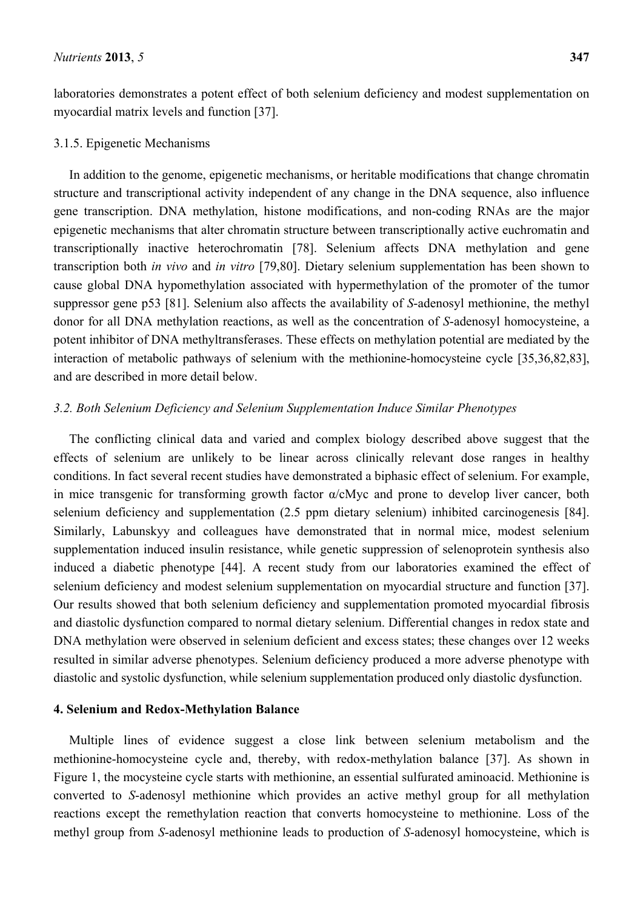laboratories demonstrates a potent effect of both selenium deficiency and modest supplementation on myocardial matrix levels and function [37].

## 3.1.5. Epigenetic Mechanisms

In addition to the genome, epigenetic mechanisms, or heritable modifications that change chromatin structure and transcriptional activity independent of any change in the DNA sequence, also influence gene transcription. DNA methylation, histone modifications, and non-coding RNAs are the major epigenetic mechanisms that alter chromatin structure between transcriptionally active euchromatin and transcriptionally inactive heterochromatin [78]. Selenium affects DNA methylation and gene transcription both *in vivo* and *in vitro* [79,80]. Dietary selenium supplementation has been shown to cause global DNA hypomethylation associated with hypermethylation of the promoter of the tumor suppressor gene p53 [81]. Selenium also affects the availability of *S*-adenosyl methionine, the methyl donor for all DNA methylation reactions, as well as the concentration of *S*-adenosyl homocysteine, a potent inhibitor of DNA methyltransferases. These effects on methylation potential are mediated by the interaction of metabolic pathways of selenium with the methionine-homocysteine cycle [35,36,82,83], and are described in more detail below.

# *3.2. Both Selenium Deficiency and Selenium Supplementation Induce Similar Phenotypes*

The conflicting clinical data and varied and complex biology described above suggest that the effects of selenium are unlikely to be linear across clinically relevant dose ranges in healthy conditions. In fact several recent studies have demonstrated a biphasic effect of selenium. For example, in mice transgenic for transforming growth factor α/cMyc and prone to develop liver cancer, both selenium deficiency and supplementation (2.5 ppm dietary selenium) inhibited carcinogenesis [84]. Similarly, Labunskyy and colleagues have demonstrated that in normal mice, modest selenium supplementation induced insulin resistance, while genetic suppression of selenoprotein synthesis also induced a diabetic phenotype [44]. A recent study from our laboratories examined the effect of selenium deficiency and modest selenium supplementation on myocardial structure and function [37]. Our results showed that both selenium deficiency and supplementation promoted myocardial fibrosis and diastolic dysfunction compared to normal dietary selenium. Differential changes in redox state and DNA methylation were observed in selenium deficient and excess states; these changes over 12 weeks resulted in similar adverse phenotypes. Selenium deficiency produced a more adverse phenotype with diastolic and systolic dysfunction, while selenium supplementation produced only diastolic dysfunction.

#### **4. Selenium and Redox-Methylation Balance**

Multiple lines of evidence suggest a close link between selenium metabolism and the methionine-homocysteine cycle and, thereby, with redox-methylation balance [37]. As shown in Figure 1, the mocysteine cycle starts with methionine, an essential sulfurated aminoacid. Methionine is converted to *S*-adenosyl methionine which provides an active methyl group for all methylation reactions except the remethylation reaction that converts homocysteine to methionine. Loss of the methyl group from *S*-adenosyl methionine leads to production of *S*-adenosyl homocysteine, which is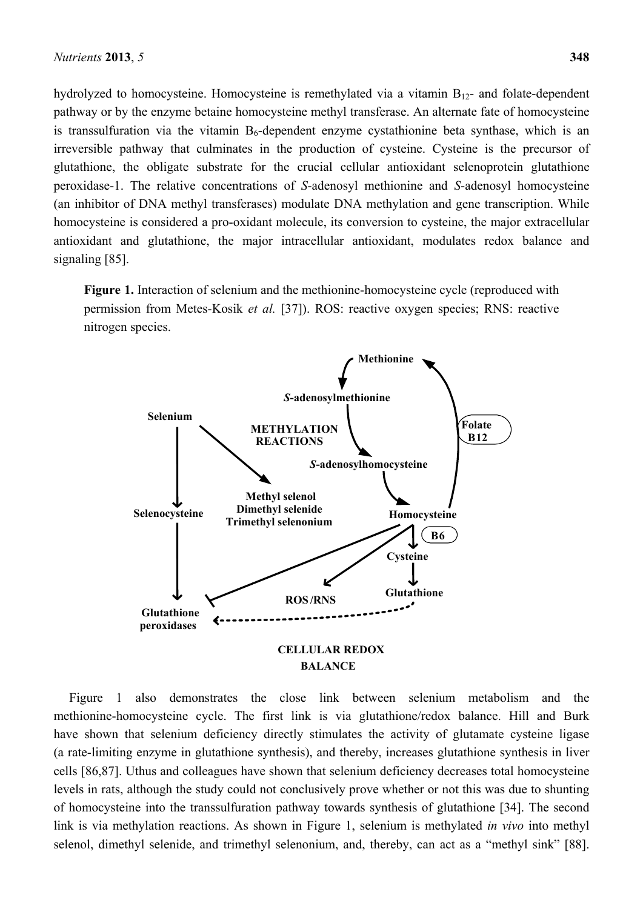hydrolyzed to homocysteine. Homocysteine is remethylated via a vitamin  $B_{12}$ - and folate-dependent pathway or by the enzyme betaine homocysteine methyl transferase. An alternate fate of homocysteine is transsulfuration via the vitamin  $B_6$ -dependent enzyme cystathionine beta synthase, which is an irreversible pathway that culminates in the production of cysteine. Cysteine is the precursor of glutathione, the obligate substrate for the crucial cellular antioxidant selenoprotein glutathione peroxidase-1. The relative concentrations of *S*-adenosyl methionine and *S*-adenosyl homocysteine (an inhibitor of DNA methyl transferases) modulate DNA methylation and gene transcription. While homocysteine is considered a pro-oxidant molecule, its conversion to cysteine, the major extracellular antioxidant and glutathione, the major intracellular antioxidant, modulates redox balance and signaling [85].

**Figure 1.** Interaction of selenium and the methionine-homocysteine cycle (reproduced with permission from Metes-Kosik *et al.* [37]). ROS: reactive oxygen species; RNS: reactive nitrogen species.



Figure 1 also demonstrates the close link between selenium metabolism and the methionine-homocysteine cycle. The first link is via glutathione/redox balance. Hill and Burk have shown that selenium deficiency directly stimulates the activity of glutamate cysteine ligase (a rate-limiting enzyme in glutathione synthesis), and thereby, increases glutathione synthesis in liver cells [86,87]. Uthus and colleagues have shown that selenium deficiency decreases total homocysteine levels in rats, although the study could not conclusively prove whether or not this was due to shunting of homocysteine into the transsulfuration pathway towards synthesis of glutathione [34]. The second link is via methylation reactions. As shown in Figure 1, selenium is methylated *in vivo* into methyl selenol, dimethyl selenide, and trimethyl selenonium, and, thereby, can act as a "methyl sink" [88].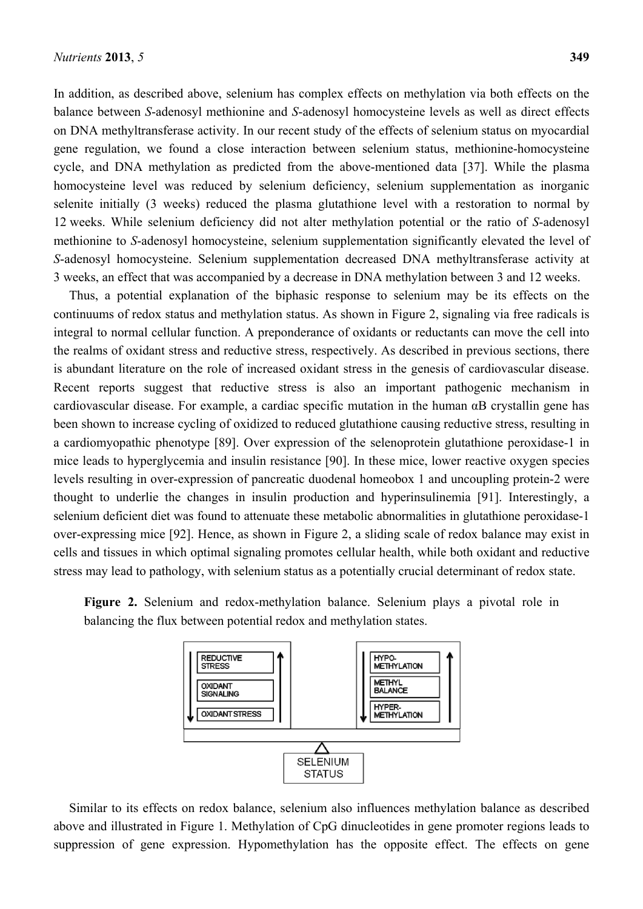In addition, as described above, selenium has complex effects on methylation via both effects on the balance between *S*-adenosyl methionine and *S*-adenosyl homocysteine levels as well as direct effects on DNA methyltransferase activity. In our recent study of the effects of selenium status on myocardial gene regulation, we found a close interaction between selenium status, methionine-homocysteine cycle, and DNA methylation as predicted from the above-mentioned data [37]. While the plasma homocysteine level was reduced by selenium deficiency, selenium supplementation as inorganic selenite initially (3 weeks) reduced the plasma glutathione level with a restoration to normal by 12 weeks. While selenium deficiency did not alter methylation potential or the ratio of *S*-adenosyl methionine to *S*-adenosyl homocysteine, selenium supplementation significantly elevated the level of *S*-adenosyl homocysteine. Selenium supplementation decreased DNA methyltransferase activity at 3 weeks, an effect that was accompanied by a decrease in DNA methylation between 3 and 12 weeks.

Thus, a potential explanation of the biphasic response to selenium may be its effects on the continuums of redox status and methylation status. As shown in Figure 2, signaling via free radicals is integral to normal cellular function. A preponderance of oxidants or reductants can move the cell into the realms of oxidant stress and reductive stress, respectively. As described in previous sections, there is abundant literature on the role of increased oxidant stress in the genesis of cardiovascular disease. Recent reports suggest that reductive stress is also an important pathogenic mechanism in cardiovascular disease. For example, a cardiac specific mutation in the human αB crystallin gene has been shown to increase cycling of oxidized to reduced glutathione causing reductive stress, resulting in a cardiomyopathic phenotype [89]. Over expression of the selenoprotein glutathione peroxidase-1 in mice leads to hyperglycemia and insulin resistance [90]. In these mice, lower reactive oxygen species levels resulting in over-expression of pancreatic duodenal homeobox 1 and uncoupling protein-2 were thought to underlie the changes in insulin production and hyperinsulinemia [91]. Interestingly, a selenium deficient diet was found to attenuate these metabolic abnormalities in glutathione peroxidase-1 over-expressing mice [92]. Hence, as shown in Figure 2, a sliding scale of redox balance may exist in cells and tissues in which optimal signaling promotes cellular health, while both oxidant and reductive stress may lead to pathology, with selenium status as a potentially crucial determinant of redox state.





Similar to its effects on redox balance, selenium also influences methylation balance as described above and illustrated in Figure 1. Methylation of CpG dinucleotides in gene promoter regions leads to suppression of gene expression. Hypomethylation has the opposite effect. The effects on gene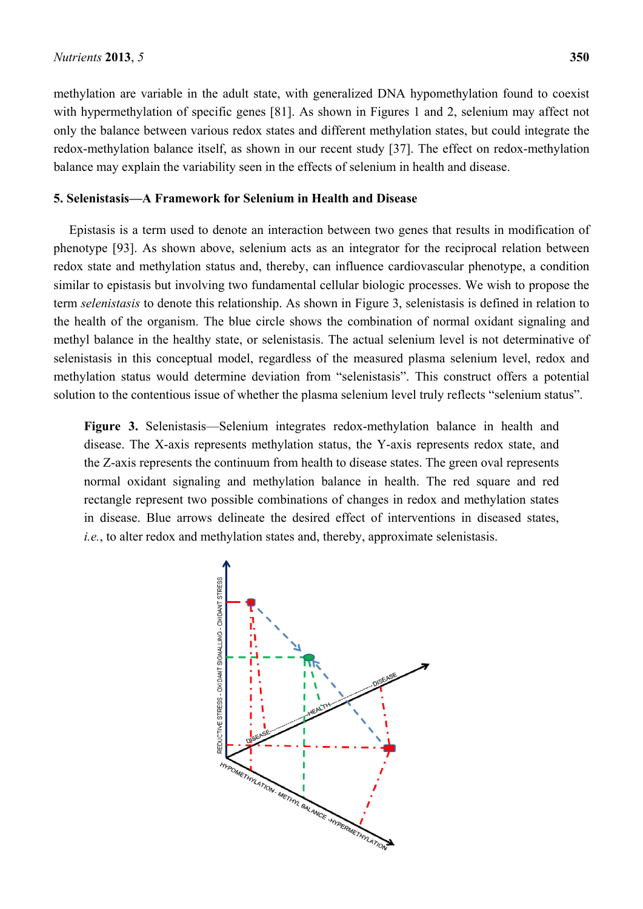methylation are variable in the adult state, with generalized DNA hypomethylation found to coexist with hypermethylation of specific genes [81]. As shown in Figures 1 and 2, selenium may affect not only the balance between various redox states and different methylation states, but could integrate the redox-methylation balance itself, as shown in our recent study [37]. The effect on redox-methylation balance may explain the variability seen in the effects of selenium in health and disease.

# **5. Selenistasis—A Framework for Selenium in Health and Disease**

Epistasis is a term used to denote an interaction between two genes that results in modification of phenotype [93]. As shown above, selenium acts as an integrator for the reciprocal relation between redox state and methylation status and, thereby, can influence cardiovascular phenotype, a condition similar to epistasis but involving two fundamental cellular biologic processes. We wish to propose the term *selenistasis* to denote this relationship. As shown in Figure 3, selenistasis is defined in relation to the health of the organism. The blue circle shows the combination of normal oxidant signaling and methyl balance in the healthy state, or selenistasis. The actual selenium level is not determinative of selenistasis in this conceptual model, regardless of the measured plasma selenium level, redox and methylation status would determine deviation from "selenistasis". This construct offers a potential solution to the contentious issue of whether the plasma selenium level truly reflects "selenium status".

**Figure 3.** Selenistasis—Selenium integrates redox-methylation balance in health and disease. The X-axis represents methylation status, the Y-axis represents redox state, and the Z-axis represents the continuum from health to disease states. The green oval represents normal oxidant signaling and methylation balance in health. The red square and red rectangle represent two possible combinations of changes in redox and methylation states in disease. Blue arrows delineate the desired effect of interventions in diseased states, *i.e.*, to alter redox and methylation states and, thereby, approximate selenistasis.

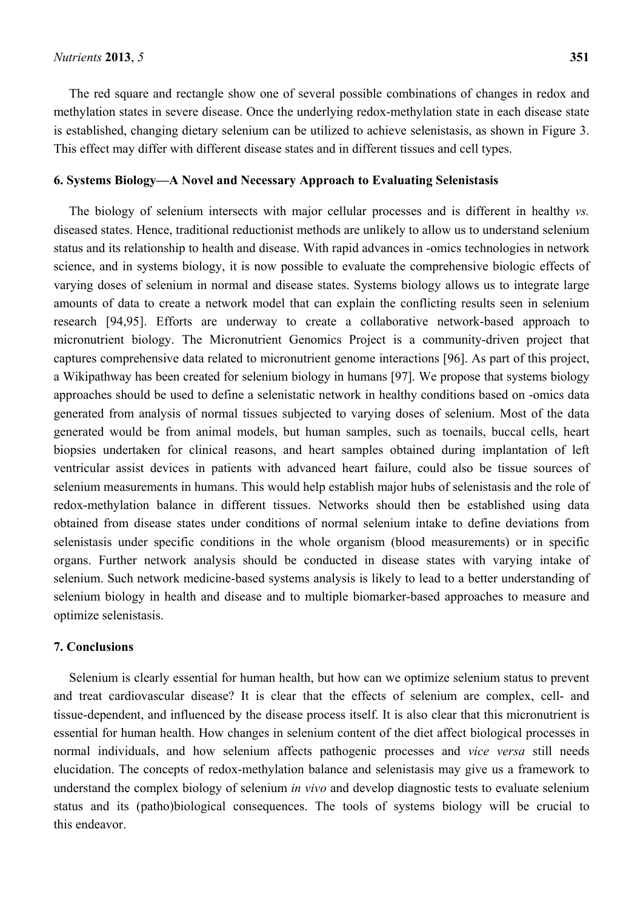The red square and rectangle show one of several possible combinations of changes in redox and methylation states in severe disease. Once the underlying redox-methylation state in each disease state is established, changing dietary selenium can be utilized to achieve selenistasis, as shown in Figure 3. This effect may differ with different disease states and in different tissues and cell types.

# **6. Systems Biology—A Novel and Necessary Approach to Evaluating Selenistasis**

The biology of selenium intersects with major cellular processes and is different in healthy *vs.* diseased states. Hence, traditional reductionist methods are unlikely to allow us to understand selenium status and its relationship to health and disease. With rapid advances in -omics technologies in network science, and in systems biology, it is now possible to evaluate the comprehensive biologic effects of varying doses of selenium in normal and disease states. Systems biology allows us to integrate large amounts of data to create a network model that can explain the conflicting results seen in selenium research [94,95]. Efforts are underway to create a collaborative network-based approach to micronutrient biology. The Micronutrient Genomics Project is a community-driven project that captures comprehensive data related to micronutrient genome interactions [96]. As part of this project, a Wikipathway has been created for selenium biology in humans [97]. We propose that systems biology approaches should be used to define a selenistatic network in healthy conditions based on -omics data generated from analysis of normal tissues subjected to varying doses of selenium. Most of the data generated would be from animal models, but human samples, such as toenails, buccal cells, heart biopsies undertaken for clinical reasons, and heart samples obtained during implantation of left ventricular assist devices in patients with advanced heart failure, could also be tissue sources of selenium measurements in humans. This would help establish major hubs of selenistasis and the role of redox-methylation balance in different tissues. Networks should then be established using data obtained from disease states under conditions of normal selenium intake to define deviations from selenistasis under specific conditions in the whole organism (blood measurements) or in specific organs. Further network analysis should be conducted in disease states with varying intake of selenium. Such network medicine-based systems analysis is likely to lead to a better understanding of selenium biology in health and disease and to multiple biomarker-based approaches to measure and optimize selenistasis.

# **7. Conclusions**

Selenium is clearly essential for human health, but how can we optimize selenium status to prevent and treat cardiovascular disease? It is clear that the effects of selenium are complex, cell- and tissue-dependent, and influenced by the disease process itself. It is also clear that this micronutrient is essential for human health. How changes in selenium content of the diet affect biological processes in normal individuals, and how selenium affects pathogenic processes and *vice versa* still needs elucidation. The concepts of redox-methylation balance and selenistasis may give us a framework to understand the complex biology of selenium *in vivo* and develop diagnostic tests to evaluate selenium status and its (patho)biological consequences. The tools of systems biology will be crucial to this endeavor.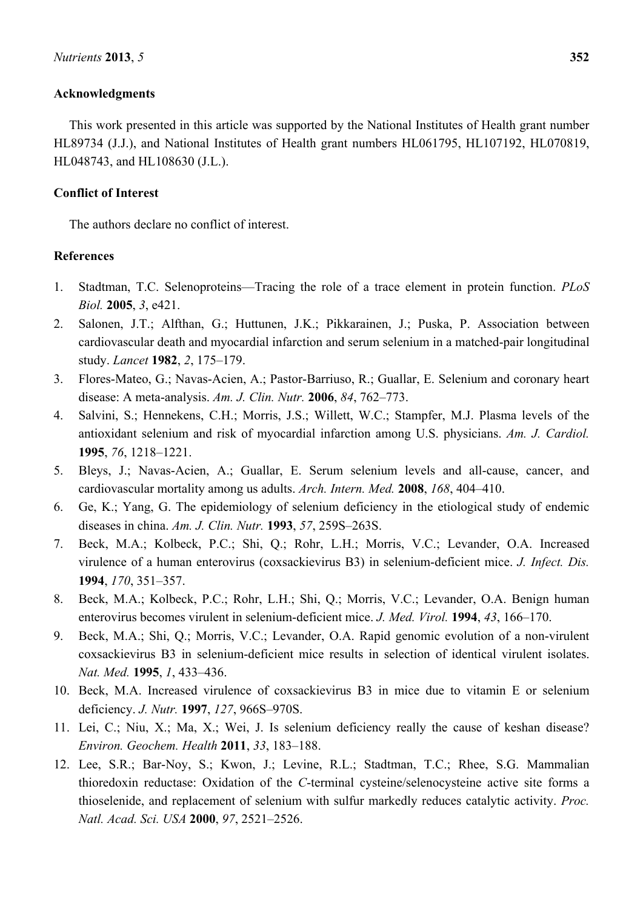# **Acknowledgments**

This work presented in this article was supported by the National Institutes of Health grant number HL89734 (J.J.), and National Institutes of Health grant numbers HL061795, HL107192, HL070819, HL048743, and HL108630 (J.L.).

# **Conflict of Interest**

The authors declare no conflict of interest.

# **References**

- 1. Stadtman, T.C. Selenoproteins—Tracing the role of a trace element in protein function. *PLoS Biol.* **2005**, *3*, e421.
- 2. Salonen, J.T.; Alfthan, G.; Huttunen, J.K.; Pikkarainen, J.; Puska, P. Association between cardiovascular death and myocardial infarction and serum selenium in a matched-pair longitudinal study. *Lancet* **1982**, *2*, 175–179.
- 3. Flores-Mateo, G.; Navas-Acien, A.; Pastor-Barriuso, R.; Guallar, E. Selenium and coronary heart disease: A meta-analysis. *Am. J. Clin. Nutr.* **2006**, *84*, 762–773.
- 4. Salvini, S.; Hennekens, C.H.; Morris, J.S.; Willett, W.C.; Stampfer, M.J. Plasma levels of the antioxidant selenium and risk of myocardial infarction among U.S. physicians. *Am. J. Cardiol.*  **1995**, *76*, 1218–1221.
- 5. Bleys, J.; Navas-Acien, A.; Guallar, E. Serum selenium levels and all-cause, cancer, and cardiovascular mortality among us adults. *Arch. Intern. Med.* **2008**, *168*, 404–410.
- 6. Ge, K.; Yang, G. The epidemiology of selenium deficiency in the etiological study of endemic diseases in china. *Am. J. Clin. Nutr.* **1993**, *57*, 259S–263S.
- 7. Beck, M.A.; Kolbeck, P.C.; Shi, Q.; Rohr, L.H.; Morris, V.C.; Levander, O.A. Increased virulence of a human enterovirus (coxsackievirus B3) in selenium-deficient mice. *J. Infect. Dis.*  **1994**, *170*, 351–357.
- 8. Beck, M.A.; Kolbeck, P.C.; Rohr, L.H.; Shi, Q.; Morris, V.C.; Levander, O.A. Benign human enterovirus becomes virulent in selenium-deficient mice. *J. Med. Virol.* **1994**, *43*, 166–170.
- 9. Beck, M.A.; Shi, Q.; Morris, V.C.; Levander, O.A. Rapid genomic evolution of a non-virulent coxsackievirus B3 in selenium-deficient mice results in selection of identical virulent isolates. *Nat. Med.* **1995**, *1*, 433–436.
- 10. Beck, M.A. Increased virulence of coxsackievirus B3 in mice due to vitamin E or selenium deficiency. *J. Nutr.* **1997**, *127*, 966S–970S.
- 11. Lei, C.; Niu, X.; Ma, X.; Wei, J. Is selenium deficiency really the cause of keshan disease? *Environ. Geochem. Health* **2011**, *33*, 183–188.
- 12. Lee, S.R.; Bar-Noy, S.; Kwon, J.; Levine, R.L.; Stadtman, T.C.; Rhee, S.G. Mammalian thioredoxin reductase: Oxidation of the *C*-terminal cysteine/selenocysteine active site forms a thioselenide, and replacement of selenium with sulfur markedly reduces catalytic activity. *Proc. Natl. Acad. Sci. USA* **2000**, *97*, 2521–2526.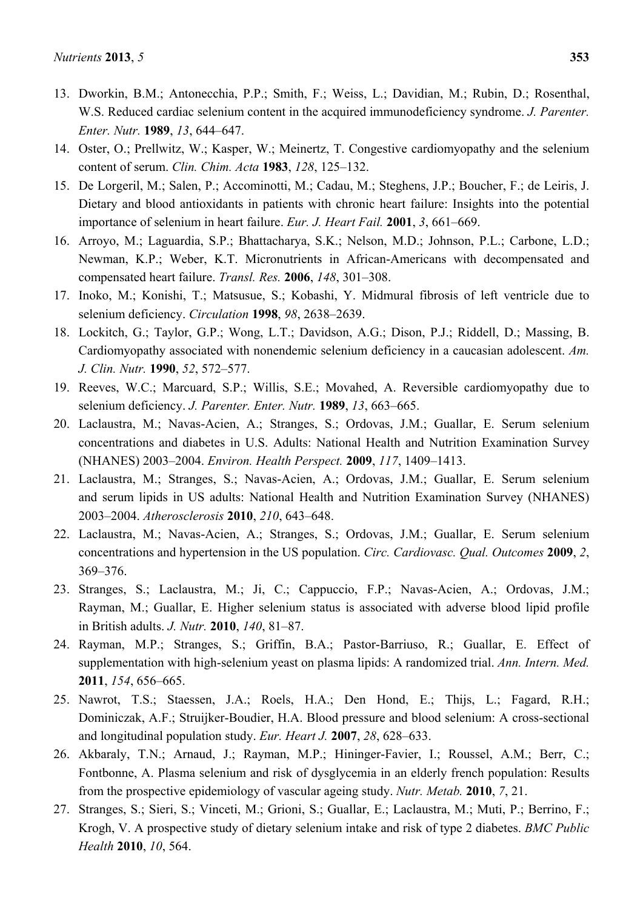- 13. Dworkin, B.M.; Antonecchia, P.P.; Smith, F.; Weiss, L.; Davidian, M.; Rubin, D.; Rosenthal, W.S. Reduced cardiac selenium content in the acquired immunodeficiency syndrome. *J. Parenter. Enter. Nutr.* **1989**, *13*, 644–647.
- 14. Oster, O.; Prellwitz, W.; Kasper, W.; Meinertz, T. Congestive cardiomyopathy and the selenium content of serum. *Clin. Chim. Acta* **1983**, *128*, 125–132.
- 15. De Lorgeril, M.; Salen, P.; Accominotti, M.; Cadau, M.; Steghens, J.P.; Boucher, F.; de Leiris, J. Dietary and blood antioxidants in patients with chronic heart failure: Insights into the potential importance of selenium in heart failure. *Eur. J. Heart Fail.* **2001**, *3*, 661–669.
- 16. Arroyo, M.; Laguardia, S.P.; Bhattacharya, S.K.; Nelson, M.D.; Johnson, P.L.; Carbone, L.D.; Newman, K.P.; Weber, K.T. Micronutrients in African-Americans with decompensated and compensated heart failure. *Transl. Res.* **2006**, *148*, 301–308.
- 17. Inoko, M.; Konishi, T.; Matsusue, S.; Kobashi, Y. Midmural fibrosis of left ventricle due to selenium deficiency. *Circulation* **1998**, *98*, 2638–2639.
- 18. Lockitch, G.; Taylor, G.P.; Wong, L.T.; Davidson, A.G.; Dison, P.J.; Riddell, D.; Massing, B. Cardiomyopathy associated with nonendemic selenium deficiency in a caucasian adolescent. *Am. J. Clin. Nutr.* **1990**, *52*, 572–577.
- 19. Reeves, W.C.; Marcuard, S.P.; Willis, S.E.; Movahed, A. Reversible cardiomyopathy due to selenium deficiency. *J. Parenter. Enter. Nutr.* **1989**, *13*, 663–665.
- 20. Laclaustra, M.; Navas-Acien, A.; Stranges, S.; Ordovas, J.M.; Guallar, E. Serum selenium concentrations and diabetes in U.S. Adults: National Health and Nutrition Examination Survey (NHANES) 2003–2004. *Environ. Health Perspect.* **2009**, *117*, 1409–1413.
- 21. Laclaustra, M.; Stranges, S.; Navas-Acien, A.; Ordovas, J.M.; Guallar, E. Serum selenium and serum lipids in US adults: National Health and Nutrition Examination Survey (NHANES) 2003–2004. *Atherosclerosis* **2010**, *210*, 643–648.
- 22. Laclaustra, M.; Navas-Acien, A.; Stranges, S.; Ordovas, J.M.; Guallar, E. Serum selenium concentrations and hypertension in the US population. *Circ. Cardiovasc. Qual. Outcomes* **2009**, *2*, 369–376.
- 23. Stranges, S.; Laclaustra, M.; Ji, C.; Cappuccio, F.P.; Navas-Acien, A.; Ordovas, J.M.; Rayman, M.; Guallar, E. Higher selenium status is associated with adverse blood lipid profile in British adults. *J. Nutr.* **2010**, *140*, 81–87.
- 24. Rayman, M.P.; Stranges, S.; Griffin, B.A.; Pastor-Barriuso, R.; Guallar, E. Effect of supplementation with high-selenium yeast on plasma lipids: A randomized trial. *Ann. Intern. Med.*  **2011**, *154*, 656–665.
- 25. Nawrot, T.S.; Staessen, J.A.; Roels, H.A.; Den Hond, E.; Thijs, L.; Fagard, R.H.; Dominiczak, A.F.; Struijker-Boudier, H.A. Blood pressure and blood selenium: A cross-sectional and longitudinal population study. *Eur. Heart J.* **2007**, *28*, 628–633.
- 26. Akbaraly, T.N.; Arnaud, J.; Rayman, M.P.; Hininger-Favier, I.; Roussel, A.M.; Berr, C.; Fontbonne, A. Plasma selenium and risk of dysglycemia in an elderly french population: Results from the prospective epidemiology of vascular ageing study. *Nutr. Metab.* **2010**, *7*, 21.
- 27. Stranges, S.; Sieri, S.; Vinceti, M.; Grioni, S.; Guallar, E.; Laclaustra, M.; Muti, P.; Berrino, F.; Krogh, V. A prospective study of dietary selenium intake and risk of type 2 diabetes. *BMC Public Health* **2010**, *10*, 564.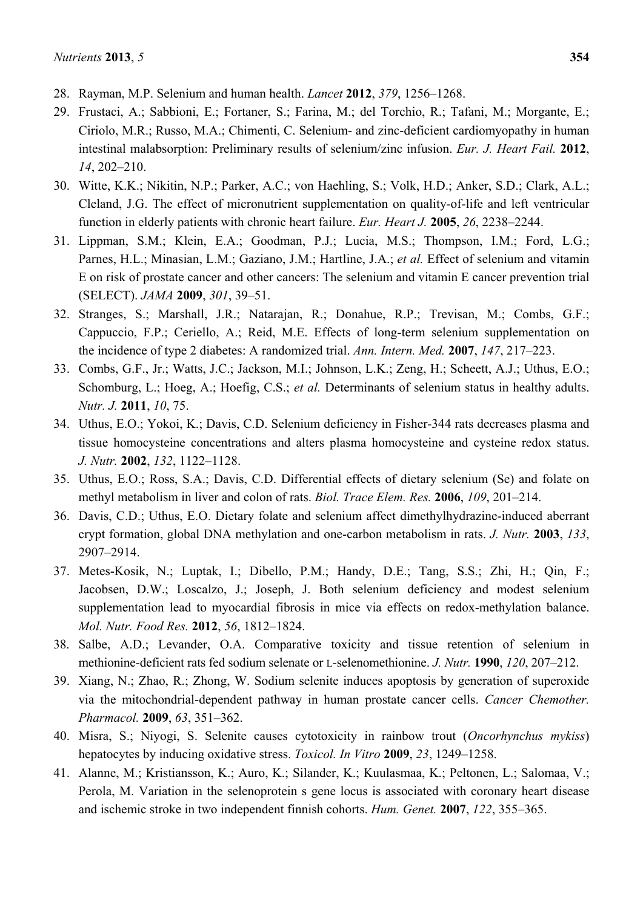- 28. Rayman, M.P. Selenium and human health. *Lancet* **2012**, *379*, 1256–1268.
- 29. Frustaci, A.; Sabbioni, E.; Fortaner, S.; Farina, M.; del Torchio, R.; Tafani, M.; Morgante, E.; Ciriolo, M.R.; Russo, M.A.; Chimenti, C. Selenium- and zinc-deficient cardiomyopathy in human intestinal malabsorption: Preliminary results of selenium/zinc infusion. *Eur. J. Heart Fail.* **2012**, *14*, 202–210.
- 30. Witte, K.K.; Nikitin, N.P.; Parker, A.C.; von Haehling, S.; Volk, H.D.; Anker, S.D.; Clark, A.L.; Cleland, J.G. The effect of micronutrient supplementation on quality-of-life and left ventricular function in elderly patients with chronic heart failure. *Eur. Heart J.* **2005**, *26*, 2238–2244.
- 31. Lippman, S.M.; Klein, E.A.; Goodman, P.J.; Lucia, M.S.; Thompson, I.M.; Ford, L.G.; Parnes, H.L.; Minasian, L.M.; Gaziano, J.M.; Hartline, J.A.; *et al.* Effect of selenium and vitamin E on risk of prostate cancer and other cancers: The selenium and vitamin E cancer prevention trial (SELECT). *JAMA* **2009**, *301*, 39–51.
- 32. Stranges, S.; Marshall, J.R.; Natarajan, R.; Donahue, R.P.; Trevisan, M.; Combs, G.F.; Cappuccio, F.P.; Ceriello, A.; Reid, M.E. Effects of long-term selenium supplementation on the incidence of type 2 diabetes: A randomized trial. *Ann. Intern. Med.* **2007**, *147*, 217–223.
- 33. Combs, G.F., Jr.; Watts, J.C.; Jackson, M.I.; Johnson, L.K.; Zeng, H.; Scheett, A.J.; Uthus, E.O.; Schomburg, L.; Hoeg, A.; Hoefig, C.S.; *et al.* Determinants of selenium status in healthy adults. *Nutr. J.* **2011**, *10*, 75.
- 34. Uthus, E.O.; Yokoi, K.; Davis, C.D. Selenium deficiency in Fisher-344 rats decreases plasma and tissue homocysteine concentrations and alters plasma homocysteine and cysteine redox status. *J. Nutr.* **2002**, *132*, 1122–1128.
- 35. Uthus, E.O.; Ross, S.A.; Davis, C.D. Differential effects of dietary selenium (Se) and folate on methyl metabolism in liver and colon of rats. *Biol. Trace Elem. Res.* **2006**, *109*, 201–214.
- 36. Davis, C.D.; Uthus, E.O. Dietary folate and selenium affect dimethylhydrazine-induced aberrant crypt formation, global DNA methylation and one-carbon metabolism in rats. *J. Nutr.* **2003**, *133*, 2907–2914.
- 37. Metes-Kosik, N.; Luptak, I.; Dibello, P.M.; Handy, D.E.; Tang, S.S.; Zhi, H.; Qin, F.; Jacobsen, D.W.; Loscalzo, J.; Joseph, J. Both selenium deficiency and modest selenium supplementation lead to myocardial fibrosis in mice via effects on redox-methylation balance. *Mol. Nutr. Food Res.* **2012**, *56*, 1812–1824.
- 38. Salbe, A.D.; Levander, O.A. Comparative toxicity and tissue retention of selenium in methionine-deficient rats fed sodium selenate or L-selenomethionine. *J. Nutr.* **1990**, *120*, 207–212.
- 39. Xiang, N.; Zhao, R.; Zhong, W. Sodium selenite induces apoptosis by generation of superoxide via the mitochondrial-dependent pathway in human prostate cancer cells. *Cancer Chemother. Pharmacol.* **2009**, *63*, 351–362.
- 40. Misra, S.; Niyogi, S. Selenite causes cytotoxicity in rainbow trout (*Oncorhynchus mykiss*) hepatocytes by inducing oxidative stress. *Toxicol. In Vitro* **2009**, *23*, 1249–1258.
- 41. Alanne, M.; Kristiansson, K.; Auro, K.; Silander, K.; Kuulasmaa, K.; Peltonen, L.; Salomaa, V.; Perola, M. Variation in the selenoprotein s gene locus is associated with coronary heart disease and ischemic stroke in two independent finnish cohorts. *Hum. Genet.* **2007**, *122*, 355–365.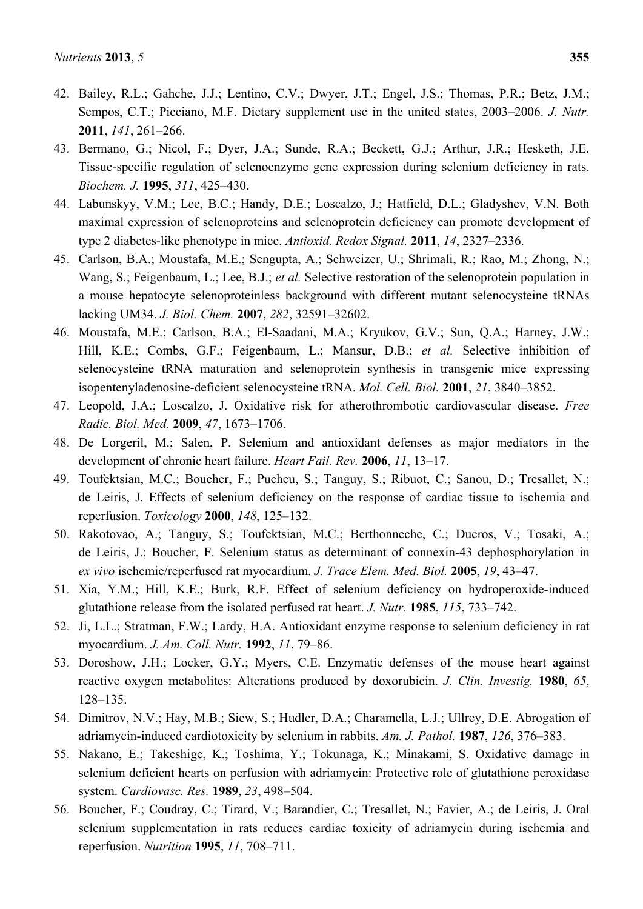- 42. Bailey, R.L.; Gahche, J.J.; Lentino, C.V.; Dwyer, J.T.; Engel, J.S.; Thomas, P.R.; Betz, J.M.; Sempos, C.T.; Picciano, M.F. Dietary supplement use in the united states, 2003–2006. *J. Nutr.*  **2011**, *141*, 261–266.
- 43. Bermano, G.; Nicol, F.; Dyer, J.A.; Sunde, R.A.; Beckett, G.J.; Arthur, J.R.; Hesketh, J.E. Tissue-specific regulation of selenoenzyme gene expression during selenium deficiency in rats. *Biochem. J.* **1995**, *311*, 425–430.
- 44. Labunskyy, V.M.; Lee, B.C.; Handy, D.E.; Loscalzo, J.; Hatfield, D.L.; Gladyshev, V.N. Both maximal expression of selenoproteins and selenoprotein deficiency can promote development of type 2 diabetes-like phenotype in mice. *Antioxid. Redox Signal.* **2011**, *14*, 2327–2336.
- 45. Carlson, B.A.; Moustafa, M.E.; Sengupta, A.; Schweizer, U.; Shrimali, R.; Rao, M.; Zhong, N.; Wang, S.; Feigenbaum, L.; Lee, B.J.; *et al.* Selective restoration of the selenoprotein population in a mouse hepatocyte selenoproteinless background with different mutant selenocysteine tRNAs lacking UM34. *J. Biol. Chem.* **2007**, *282*, 32591–32602.
- 46. Moustafa, M.E.; Carlson, B.A.; El-Saadani, M.A.; Kryukov, G.V.; Sun, Q.A.; Harney, J.W.; Hill, K.E.; Combs, G.F.; Feigenbaum, L.; Mansur, D.B.; *et al.* Selective inhibition of selenocysteine tRNA maturation and selenoprotein synthesis in transgenic mice expressing isopentenyladenosine-deficient selenocysteine tRNA. *Mol. Cell. Biol.* **2001**, *21*, 3840–3852.
- 47. Leopold, J.A.; Loscalzo, J. Oxidative risk for atherothrombotic cardiovascular disease. *Free Radic. Biol. Med.* **2009**, *47*, 1673–1706.
- 48. De Lorgeril, M.; Salen, P. Selenium and antioxidant defenses as major mediators in the development of chronic heart failure. *Heart Fail. Rev.* **2006**, *11*, 13–17.
- 49. Toufektsian, M.C.; Boucher, F.; Pucheu, S.; Tanguy, S.; Ribuot, C.; Sanou, D.; Tresallet, N.; de Leiris, J. Effects of selenium deficiency on the response of cardiac tissue to ischemia and reperfusion. *Toxicology* **2000**, *148*, 125–132.
- 50. Rakotovao, A.; Tanguy, S.; Toufektsian, M.C.; Berthonneche, C.; Ducros, V.; Tosaki, A.; de Leiris, J.; Boucher, F. Selenium status as determinant of connexin-43 dephosphorylation in *ex vivo* ischemic/reperfused rat myocardium. *J. Trace Elem. Med. Biol.* **2005**, *19*, 43–47.
- 51. Xia, Y.M.; Hill, K.E.; Burk, R.F. Effect of selenium deficiency on hydroperoxide-induced glutathione release from the isolated perfused rat heart. *J. Nutr.* **1985**, *115*, 733–742.
- 52. Ji, L.L.; Stratman, F.W.; Lardy, H.A. Antioxidant enzyme response to selenium deficiency in rat myocardium. *J. Am. Coll. Nutr.* **1992**, *11*, 79–86.
- 53. Doroshow, J.H.; Locker, G.Y.; Myers, C.E. Enzymatic defenses of the mouse heart against reactive oxygen metabolites: Alterations produced by doxorubicin. *J. Clin. Investig.* **1980**, *65*, 128–135.
- 54. Dimitrov, N.V.; Hay, M.B.; Siew, S.; Hudler, D.A.; Charamella, L.J.; Ullrey, D.E. Abrogation of adriamycin-induced cardiotoxicity by selenium in rabbits. *Am. J. Pathol.* **1987**, *126*, 376–383.
- 55. Nakano, E.; Takeshige, K.; Toshima, Y.; Tokunaga, K.; Minakami, S. Oxidative damage in selenium deficient hearts on perfusion with adriamycin: Protective role of glutathione peroxidase system. *Cardiovasc. Res.* **1989**, *23*, 498–504.
- 56. Boucher, F.; Coudray, C.; Tirard, V.; Barandier, C.; Tresallet, N.; Favier, A.; de Leiris, J. Oral selenium supplementation in rats reduces cardiac toxicity of adriamycin during ischemia and reperfusion. *Nutrition* **1995**, *11*, 708–711.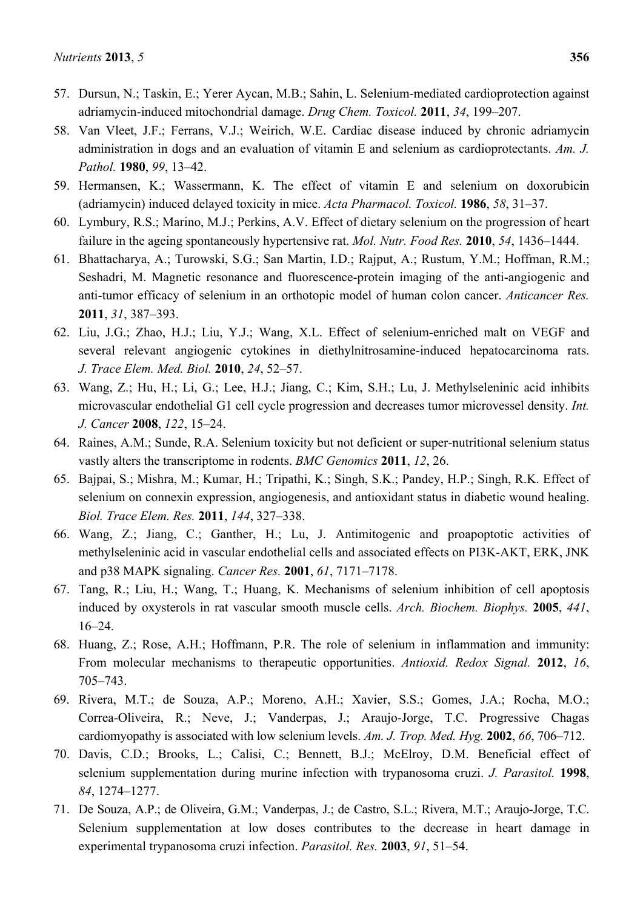- 57. Dursun, N.; Taskin, E.; Yerer Aycan, M.B.; Sahin, L. Selenium-mediated cardioprotection against adriamycin-induced mitochondrial damage. *Drug Chem. Toxicol.* **2011**, *34*, 199–207.
- 58. Van Vleet, J.F.; Ferrans, V.J.; Weirich, W.E. Cardiac disease induced by chronic adriamycin administration in dogs and an evaluation of vitamin E and selenium as cardioprotectants. *Am. J. Pathol.* **1980**, *99*, 13–42.
- 59. Hermansen, K.; Wassermann, K. The effect of vitamin E and selenium on doxorubicin (adriamycin) induced delayed toxicity in mice. *Acta Pharmacol. Toxicol.* **1986**, *58*, 31–37.
- 60. Lymbury, R.S.; Marino, M.J.; Perkins, A.V. Effect of dietary selenium on the progression of heart failure in the ageing spontaneously hypertensive rat. *Mol. Nutr. Food Res.* **2010**, *54*, 1436–1444.
- 61. Bhattacharya, A.; Turowski, S.G.; San Martin, I.D.; Rajput, A.; Rustum, Y.M.; Hoffman, R.M.; Seshadri, M. Magnetic resonance and fluorescence-protein imaging of the anti-angiogenic and anti-tumor efficacy of selenium in an orthotopic model of human colon cancer. *Anticancer Res.*  **2011**, *31*, 387–393.
- 62. Liu, J.G.; Zhao, H.J.; Liu, Y.J.; Wang, X.L. Effect of selenium-enriched malt on VEGF and several relevant angiogenic cytokines in diethylnitrosamine-induced hepatocarcinoma rats. *J. Trace Elem. Med. Biol.* **2010**, *24*, 52–57.
- 63. Wang, Z.; Hu, H.; Li, G.; Lee, H.J.; Jiang, C.; Kim, S.H.; Lu, J. Methylseleninic acid inhibits microvascular endothelial G1 cell cycle progression and decreases tumor microvessel density. *Int. J. Cancer* **2008**, *122*, 15–24.
- 64. Raines, A.M.; Sunde, R.A. Selenium toxicity but not deficient or super-nutritional selenium status vastly alters the transcriptome in rodents. *BMC Genomics* **2011**, *12*, 26.
- 65. Bajpai, S.; Mishra, M.; Kumar, H.; Tripathi, K.; Singh, S.K.; Pandey, H.P.; Singh, R.K. Effect of selenium on connexin expression, angiogenesis, and antioxidant status in diabetic wound healing. *Biol. Trace Elem. Res.* **2011**, *144*, 327–338.
- 66. Wang, Z.; Jiang, C.; Ganther, H.; Lu, J. Antimitogenic and proapoptotic activities of methylseleninic acid in vascular endothelial cells and associated effects on PI3K-AKT, ERK, JNK and p38 MAPK signaling. *Cancer Res.* **2001**, *61*, 7171–7178.
- 67. Tang, R.; Liu, H.; Wang, T.; Huang, K. Mechanisms of selenium inhibition of cell apoptosis induced by oxysterols in rat vascular smooth muscle cells. *Arch. Biochem. Biophys.* **2005**, *441*, 16–24.
- 68. Huang, Z.; Rose, A.H.; Hoffmann, P.R. The role of selenium in inflammation and immunity: From molecular mechanisms to therapeutic opportunities. *Antioxid. Redox Signal.* **2012**, *16*, 705–743.
- 69. Rivera, M.T.; de Souza, A.P.; Moreno, A.H.; Xavier, S.S.; Gomes, J.A.; Rocha, M.O.; Correa-Oliveira, R.; Neve, J.; Vanderpas, J.; Araujo-Jorge, T.C. Progressive Chagas cardiomyopathy is associated with low selenium levels. *Am. J. Trop. Med. Hyg.* **2002**, *66*, 706–712.
- 70. Davis, C.D.; Brooks, L.; Calisi, C.; Bennett, B.J.; McElroy, D.M. Beneficial effect of selenium supplementation during murine infection with trypanosoma cruzi. *J. Parasitol.* **1998**, *84*, 1274–1277.
- 71. De Souza, A.P.; de Oliveira, G.M.; Vanderpas, J.; de Castro, S.L.; Rivera, M.T.; Araujo-Jorge, T.C. Selenium supplementation at low doses contributes to the decrease in heart damage in experimental trypanosoma cruzi infection. *Parasitol. Res.* **2003**, *91*, 51–54.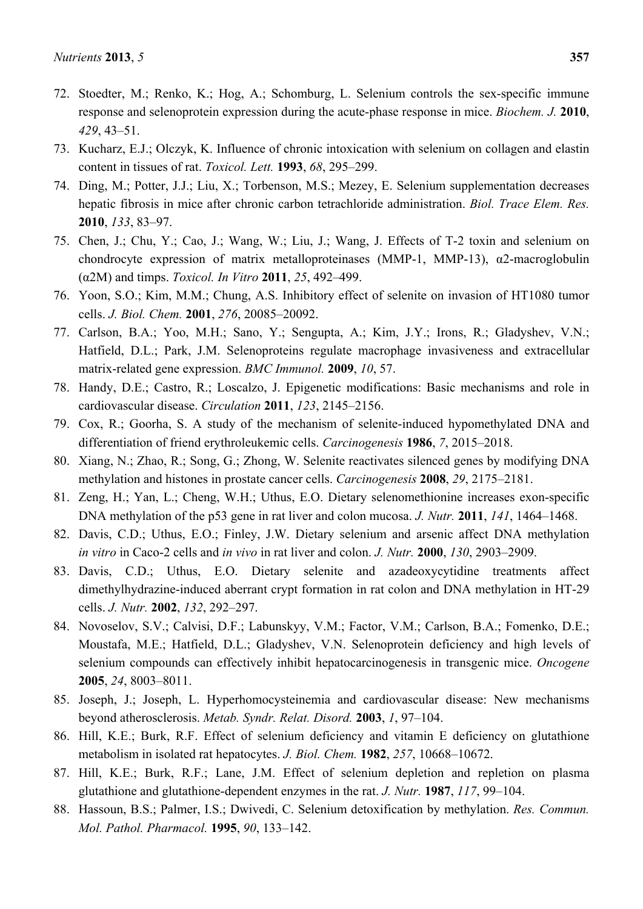- 72. Stoedter, M.; Renko, K.; Hog, A.; Schomburg, L. Selenium controls the sex-specific immune response and selenoprotein expression during the acute-phase response in mice. *Biochem. J.* **2010**, *429*, 43–51.
- 73. Kucharz, E.J.; Olczyk, K. Influence of chronic intoxication with selenium on collagen and elastin content in tissues of rat. *Toxicol. Lett.* **1993**, *68*, 295–299.
- 74. Ding, M.; Potter, J.J.; Liu, X.; Torbenson, M.S.; Mezey, E. Selenium supplementation decreases hepatic fibrosis in mice after chronic carbon tetrachloride administration. *Biol. Trace Elem. Res.*  **2010**, *133*, 83–97.
- 75. Chen, J.; Chu, Y.; Cao, J.; Wang, W.; Liu, J.; Wang, J. Effects of T-2 toxin and selenium on chondrocyte expression of matrix metalloproteinases (MMP-1, MMP-13),  $\alpha$ 2-macroglobulin (α2M) and timps. *Toxicol. In Vitro* **2011**, *25*, 492–499.
- 76. Yoon, S.O.; Kim, M.M.; Chung, A.S. Inhibitory effect of selenite on invasion of HT1080 tumor cells. *J. Biol. Chem.* **2001**, *276*, 20085–20092.
- 77. Carlson, B.A.; Yoo, M.H.; Sano, Y.; Sengupta, A.; Kim, J.Y.; Irons, R.; Gladyshev, V.N.; Hatfield, D.L.; Park, J.M. Selenoproteins regulate macrophage invasiveness and extracellular matrix-related gene expression. *BMC Immunol.* **2009**, *10*, 57.
- 78. Handy, D.E.; Castro, R.; Loscalzo, J. Epigenetic modifications: Basic mechanisms and role in cardiovascular disease. *Circulation* **2011**, *123*, 2145–2156.
- 79. Cox, R.; Goorha, S. A study of the mechanism of selenite-induced hypomethylated DNA and differentiation of friend erythroleukemic cells. *Carcinogenesis* **1986**, *7*, 2015–2018.
- 80. Xiang, N.; Zhao, R.; Song, G.; Zhong, W. Selenite reactivates silenced genes by modifying DNA methylation and histones in prostate cancer cells. *Carcinogenesis* **2008**, *29*, 2175–2181.
- 81. Zeng, H.; Yan, L.; Cheng, W.H.; Uthus, E.O. Dietary selenomethionine increases exon-specific DNA methylation of the p53 gene in rat liver and colon mucosa. *J. Nutr.* **2011**, *141*, 1464–1468.
- 82. Davis, C.D.; Uthus, E.O.; Finley, J.W. Dietary selenium and arsenic affect DNA methylation *in vitro* in Caco-2 cells and *in vivo* in rat liver and colon. *J. Nutr.* **2000**, *130*, 2903–2909.
- 83. Davis, C.D.; Uthus, E.O. Dietary selenite and azadeoxycytidine treatments affect dimethylhydrazine-induced aberrant crypt formation in rat colon and DNA methylation in HT-29 cells. *J. Nutr.* **2002**, *132*, 292–297.
- 84. Novoselov, S.V.; Calvisi, D.F.; Labunskyy, V.M.; Factor, V.M.; Carlson, B.A.; Fomenko, D.E.; Moustafa, M.E.; Hatfield, D.L.; Gladyshev, V.N. Selenoprotein deficiency and high levels of selenium compounds can effectively inhibit hepatocarcinogenesis in transgenic mice. *Oncogene*  **2005**, *24*, 8003–8011.
- 85. Joseph, J.; Joseph, L. Hyperhomocysteinemia and cardiovascular disease: New mechanisms beyond atherosclerosis. *Metab. Syndr. Relat. Disord.* **2003**, *1*, 97–104.
- 86. Hill, K.E.; Burk, R.F. Effect of selenium deficiency and vitamin E deficiency on glutathione metabolism in isolated rat hepatocytes. *J. Biol. Chem.* **1982**, *257*, 10668–10672.
- 87. Hill, K.E.; Burk, R.F.; Lane, J.M. Effect of selenium depletion and repletion on plasma glutathione and glutathione-dependent enzymes in the rat. *J. Nutr.* **1987**, *117*, 99–104.
- 88. Hassoun, B.S.; Palmer, I.S.; Dwivedi, C. Selenium detoxification by methylation. *Res. Commun. Mol. Pathol. Pharmacol.* **1995**, *90*, 133–142.